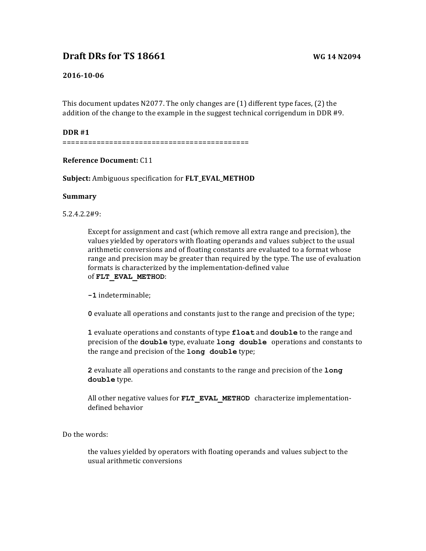# **Draft DRs for TS 18661 WG 14 N2094**

## **2016-10-06**

This document updates N2077. The only changes are  $(1)$  different type faces,  $(2)$  the addition of the change to the example in the suggest technical corrigendum in DDR  $#9$ .

#### **DDR #1**

============================================

## **Reference Document:** C11

**Subject:** Ambiguous specification for **FLT\_EVAL\_METHOD** 

## **Summary**

5.2.4.2.2#9:

Except for assignment and cast (which remove all extra range and precision), the values yielded by operators with floating operands and values subject to the usual arithmetic conversions and of floating constants are evaluated to a format whose range and precision may be greater than required by the type. The use of evaluation formats is characterized by the implementation-defined value of **FLT\_EVAL\_METHOD**:

**-1** indeterminable; 

**0** evaluate all operations and constants just to the range and precision of the type;

**1** evaluate operations and constants of type **float** and **double** to the range and precision of the **double** type, evaluate **long double** operations and constants to the range and precision of the **long double** type;

**2** evaluate all operations and constants to the range and precision of the long **double** type. 

All other negative values for FLT EVAL METHOD characterize implementationdefined behavior

Do the words:

the values yielded by operators with floating operands and values subject to the usual arithmetic conversions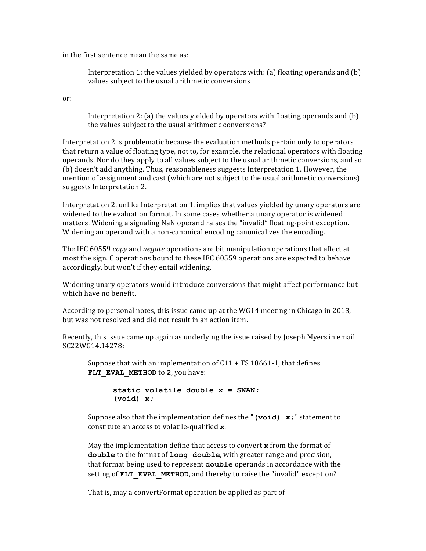in the first sentence mean the same as:

Interpretation 1: the values yielded by operators with: (a) floating operands and (b) values subject to the usual arithmetic conversions

or:

Interpretation 2: (a) the values yielded by operators with floating operands and  $(b)$ the values subject to the usual arithmetic conversions?

Interpretation 2 is problematic because the evaluation methods pertain only to operators that return a value of floating type, not to, for example, the relational operators with floating operands. Nor do they apply to all values subject to the usual arithmetic conversions, and so (b) doesn't add anything. Thus, reasonableness suggests Interpretation 1. However, the mention of assignment and cast (which are not subject to the usual arithmetic conversions) suggests Interpretation 2.

Interpretation 2, unlike Interpretation 1, implies that values yielded by unary operators are widened to the evaluation format. In some cases whether a unary operator is widened matters. Widening a signaling NaN operand raises the "invalid" floating-point exception. Widening an operand with a non-canonical encoding canonicalizes the encoding.

The IEC 60559 *copy* and *negate* operations are bit manipulation operations that affect at most the sign. C operations bound to these IEC 60559 operations are expected to behave accordingly, but won't if they entail widening.

Widening unary operators would introduce conversions that might affect performance but which have no benefit.

According to personal notes, this issue came up at the  $WG14$  meeting in Chicago in 2013, but was not resolved and did not result in an action item.

Recently, this issue came up again as underlying the issue raised by Joseph Myers in email SC22WG14.14278:

Suppose that with an implementation of  $C11 + TS 18661-1$ , that defines FLT EVAL METHOD to 2, you have:

```
static volatile double x = SNAN;
(void) x;
```
Suppose also that the implementation defines the "(void) x; " statement to constitute an access to volatile-qualified x.

May the implementation define that access to convert  $\boldsymbol{\mathsf{x}}$  from the format of **double** to the format of long double, with greater range and precision, that format being used to represent **double** operands in accordance with the setting of **FLT** EVAL METHOD, and thereby to raise the "invalid" exception?

That is, may a convertFormat operation be applied as part of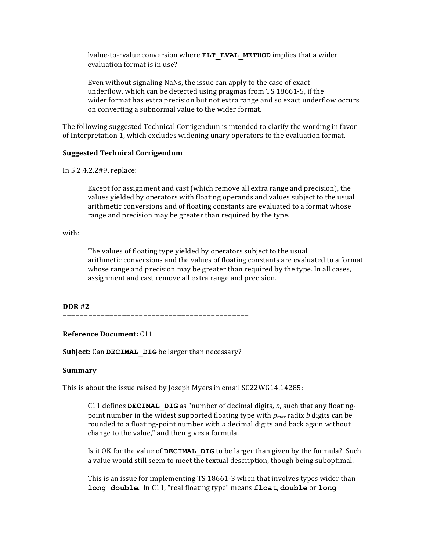lvalue-to-rvalue conversion where **FLT\_EVAL\_METHOD** implies that a wider evaluation format is in use?

Even without signaling NaNs, the issue can apply to the case of exact underflow, which can be detected using pragmas from TS 18661-5, if the wider format has extra precision but not extra range and so exact underflow occurs on converting a subnormal value to the wider format.

The following suggested Technical Corrigendum is intended to clarify the wording in favor of Interpretation 1, which excludes widening unary operators to the evaluation format.

## **Suggested Technical Corrigendum**

In 5.2.4.2.2#9, replace:

Except for assignment and cast (which remove all extra range and precision), the values yielded by operators with floating operands and values subject to the usual arithmetic conversions and of floating constants are evaluated to a format whose range and precision may be greater than required by the type.

with:

The values of floating type yielded by operators subject to the usual arithmetic conversions and the values of floating constants are evaluated to a format whose range and precision may be greater than required by the type. In all cases, assignment and cast remove all extra range and precision.

## **DDR #2**

============================================

#### **Reference Document: C11**

**Subject:** Can DECIMAL DIG be larger than necessary?

#### **Summary**

This is about the issue raised by Joseph Myers in email SC22WG14.14285:

C11 defines **DECIMAL** DIG as "number of decimal digits, *n*, such that any floatingpoint number in the widest supported floating type with  $p_{max}$  radix *b* digits can be rounded to a floating-point number with *n* decimal digits and back again without change to the value," and then gives a formula.

Is it OK for the value of **DECIMAL** DIG to be larger than given by the formula? Such a value would still seem to meet the textual description, though being suboptimal.

This is an issue for implementing TS 18661-3 when that involves types wider than **long double**. In C11, "real floating type" means **float**, **double** or **long**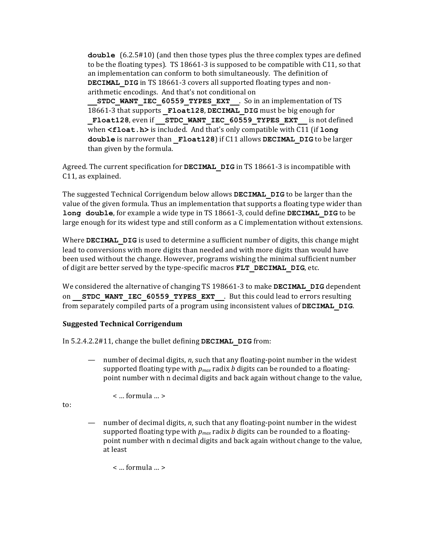**double**  $(6.2.5 \# 10)$  (and then those types plus the three complex types are defined to be the floating types). TS 18661-3 is supposed to be compatible with  $C11$ , so that an implementation can conform to both simultaneously. The definition of **DECIMAL** DIG in TS 18661-3 covers all supported floating types and nonarithmetic encodings. And that's not conditional on

**STDC WANT IEC 60559 TYPES EXT** . So in an implementation of TS 18661-3 that supports **Float128, DECIMAL** DIG must be big enough for Float128, even if STDC WANT IEC 60559 TYPES EXT is not defined when <float.h> is included. And that's only compatible with C11 (if long **double** is narrower than **Float128**) if C11 allows **DECIMAL** DIG to be larger than given by the formula.

Agreed. The current specification for **DECIMAL** DIG in TS 18661-3 is incompatible with C11, as explained.

The suggested Technical Corrigendum below allows **DECIMAL** DIG to be larger than the value of the given formula. Thus an implementation that supports a floating type wider than **long double**, for example a wide type in TS 18661-3, could define **DECIMAL** DIG to be large enough for its widest type and still conform as a  $C$  implementation without extensions.

Where **DECIMAL** DIG is used to determine a sufficient number of digits, this change might lead to conversions with more digits than needed and with more digits than would have been used without the change. However, programs wishing the minimal sufficient number of digit are better served by the type-specific macros **FLT DECIMAL DIG**, etc.

We considered the alternative of changing TS 198661-3 to make **DECIMAL** DIG dependent on **STDC WANT IEC 60559 TYPES EXT** . But this could lead to errors resulting from separately compiled parts of a program using inconsistent values of **DECIMAL** DIG.

# **Suggested Technical Corrigendum**

In 5.2.4.2.2#11, change the bullet defining **DECIMAL** DIG from:

— number of decimal digits, *n*, such that any floating-point number in the widest supported floating type with  $p_{max}$  radix *b* digits can be rounded to a floatingpoint number with n decimal digits and back again without change to the value,

 $\leq$  ... formula ...  $\geq$ 

to:

number of decimal digits, *n*, such that any floating-point number in the widest supported floating type with  $p_{max}$  radix *b* digits can be rounded to a floatingpoint number with n decimal digits and back again without change to the value, at least

< … formula … >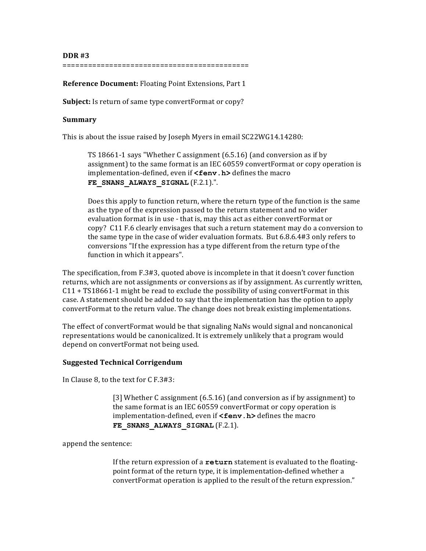**DDR #3**

============================================

**Reference Document:** Floating Point Extensions, Part 1

**Subject:** Is return of same type convertFormat or copy?

#### **Summary**

This is about the issue raised by Joseph Myers in email SC22WG14.14280:

TS 18661-1 says "Whether C assignment  $(6.5.16)$  (and conversion as if by assignment) to the same format is an IEC 60559 convertFormat or copy operation is implementation-defined, even if **<fenv.h>** defines the macro FE SNANS ALWAYS SIGNAL (F.2.1).".

Does this apply to function return, where the return type of the function is the same as the type of the expression passed to the return statement and no wider evaluation format is in use - that is, may this act as either convertFormat or copy? C11 F.6 clearly envisages that such a return statement may do a conversion to the same type in the case of wider evaluation formats. But  $6.8.6.4#3$  only refers to conversions "If the expression has a type different from the return type of the function in which it appears".

The specification, from  $F.3#3$ , quoted above is incomplete in that it doesn't cover function returns, which are not assignments or conversions as if by assignment. As currently written,  $C11 + TS18661-1$  might be read to exclude the possibility of using convertFormat in this case. A statement should be added to say that the implementation has the option to apply convertFormat to the return value. The change does not break existing implementations.

The effect of convertFormat would be that signaling NaNs would signal and noncanonical representations would be canonicalized. It is extremely unlikely that a program would depend on convertFormat not being used.

## **Suggested Technical Corrigendum**

In Clause 8, to the text for  $C$  F.3#3:

[3] Whether C assignment  $(6.5.16)$  (and conversion as if by assignment) to the same format is an IEC 60559 convertFormat or copy operation is implementation-defined, even if **<fenv.h>** defines the macro FE\_SNANS\_ALWAYS\_SIGNAL (F.2.1).

append the sentence:

If the return expression of a **return** statement is evaluated to the floatingpoint format of the return type, it is implementation-defined whether a convertFormat operation is applied to the result of the return expression."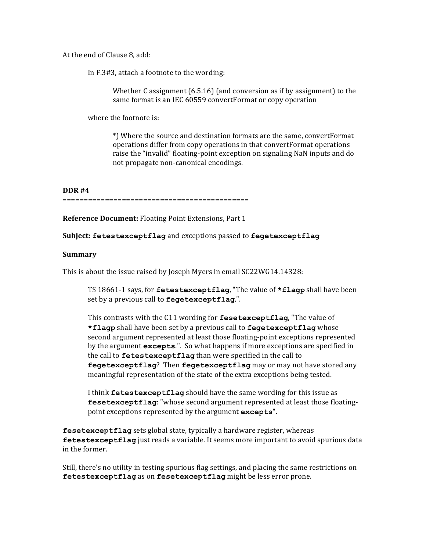At the end of Clause 8, add:

In F.3#3, attach a footnote to the wording:

Whether C assignment  $(6.5.16)$  (and conversion as if by assignment) to the same format is an IEC 60559 convertFormat or copy operation

where the footnote is:

\*) Where the source and destination formats are the same, convertFormat operations differ from copy operations in that convertFormat operations raise the "invalid" floating-point exception on signaling NaN inputs and do not propagate non-canonical encodings.

#### **DDR #4**

#### ============================================

**Reference Document:** Floating Point Extensions, Part 1

**Subject: fetestexceptflag** and exceptions passed to **fegetexceptflag**

## **Summary**

This is about the issue raised by Joseph Myers in email SC22WG14.14328:

TS 18661-1 says, for fetestexceptflag, "The value of \*flagp shall have been set by a previous call to **fegetexceptflag**.".

This contrasts with the C11 wording for fesetexceptflag, "The value of \***flagp** shall have been set by a previous call to **fegetexceptflag** whose second argument represented at least those floating-point exceptions represented by the argument **excepts**.". So what happens if more exceptions are specified in the call to fetestexceptflag than were specified in the call to **fegetexceptflag**? Then **fegetexceptflag** may or may not have stored any meaningful representation of the state of the extra exceptions being tested.

I think **fetestexceptflag** should have the same wording for this issue as **fesetexceptflag**: "whose second argument represented at least those floatingpoint exceptions represented by the argument **excepts**".

fesetexceptflag sets global state, typically a hardware register, whereas fetestexceptflag just reads a variable. It seems more important to avoid spurious data in the former.

Still, there's no utility in testing spurious flag settings, and placing the same restrictions on fetestexceptflag as on fesetexceptflag might be less error prone.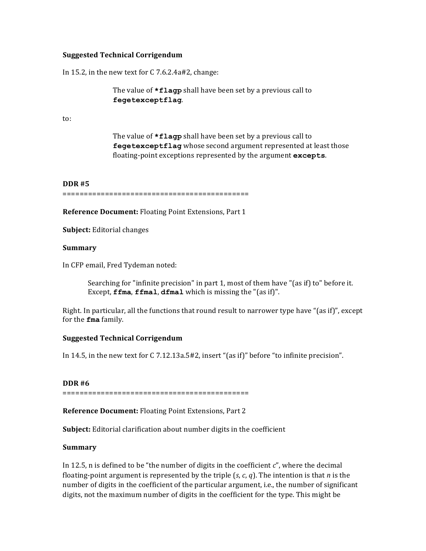## **Suggested Technical Corrigendum**

In 15.2, in the new text for  $C$  7.6.2.4a#2, change:

The value of **\*flagp** shall have been set by a previous call to **fegetexceptflag**.

to:

The value of **\*flagp** shall have been set by a previous call to **fegetexceptflag** whose second argument represented at least those floating-point exceptions represented by the argument **excepts**.

#### **DDR #5**

============================================

**Reference Document:** Floating Point Extensions, Part 1

**Subject:** Editorial changes

#### **Summary**

In CFP email, Fred Tydeman noted:

Searching for "infinite precision" in part 1, most of them have "(as if) to" before it. Except,  $ffma$ ,  $ffmal$ ,  $dfma1$  which is missing the " $(as if)$ ".

Right. In particular, all the functions that round result to narrower type have "(as if)", except for the **fma** family.

#### **Suggested Technical Corrigendum**

In 14.5, in the new text for C 7.12.13a.5#2, insert "(as if)" before "to infinite precision".

#### **DDR #6**

============================================

**Reference Document:** Floating Point Extensions, Part 2

**Subject:** Editorial clarification about number digits in the coefficient

#### **Summary**

In 12.5, n is defined to be "the number of digits in the coefficient  $c$ ", where the decimal floating-point argument is represented by the triple  $(s, c, q)$ . The intention is that *n* is the number of digits in the coefficient of the particular argument, i.e., the number of significant digits, not the maximum number of digits in the coefficient for the type. This might be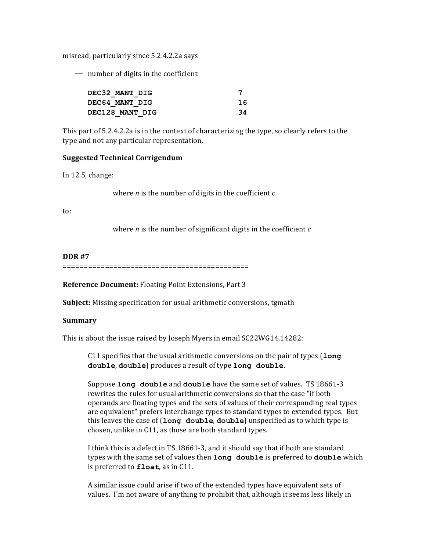misread, particularly since 5.2.4.2.2a says

 $-$  number of digits in the coefficient

| DEC32 MANT DIG         |     |
|------------------------|-----|
| DEC64 MANT DIG         | 16  |
| <b>DEC128 MANT DIG</b> | -34 |

This part of 5.2.4.2.2a is in the context of characterizing the type, so clearly refers to the type and not any particular representation.

## **Suggested Technical Corrigendum**

In 12.5, change:

where *n* is the number of digits in the coefficient  $c$ 

to:

where  $n$  is the number of significant digits in the coefficient  $c$ 

## **DDR #7**

============================================

**Reference Document:** Floating Point Extensions, Part 3

**Subject:** Missing specification for usual arithmetic conversions, tgmath

#### **Summary**

This is about the issue raised by Joseph Myers in email SC22WG14.14282:

C11 specifies that the usual arithmetic conversions on the pair of types (long double, double) produces a result of type long double.

Suppose **long** double and double have the same set of values. TS 18661-3 rewrites the rules for usual arithmetic conversions so that the case "if both operands are floating types and the sets of values of their corresponding real types are equivalent" prefers interchange types to standard types to extended types. But this leaves the case of (long double, double) unspecified as to which type is chosen, unlike in C11, as those are both standard types.

I think this is a defect in TS 18661-3, and it should say that if both are standard types with the same set of values then long double is preferred to double which is preferred to **float**, as in C11.

A similar issue could arise if two of the extended types have equivalent sets of values. I'm not aware of anything to prohibit that, although it seems less likely in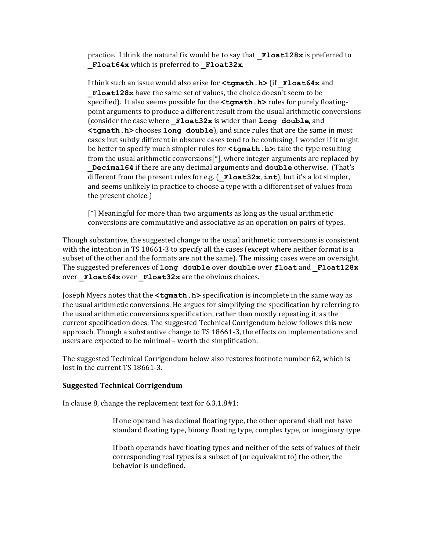practice. I think the natural fix would be to say that **Float128x** is preferred to **Float64x** which is preferred to **Float32x**.

I think such an issue would also arise for  $lt$ tgmath.h> (if **Float64x** and **Float128x** have the same set of values, the choice doesn't seem to be specified). It also seems possible for the **<tgmath.h>** rules for purely floatingpoint arguments to produce a different result from the usual arithmetic conversions (consider the case where **Float32x** is wider than **long double**, and **<tgmath.h>** chooses long double), and since rules that are the same in most cases but subtly different in obscure cases tend to be confusing. I wonder if it might be better to specify much simpler rules for **<tgmath.h>**: take the type resulting from the usual arithmetic conversions[ $*$ ], where integer arguments are replaced by **Decimal64** if there are any decimal arguments and **double** otherwise. (That's different from the present rules for e.g.  $($ **Float32x**,  $int$ ), but it's a lot simpler, and seems unlikely in practice to choose a type with a different set of values from the present choice.)

 $[*]$  Meaningful for more than two arguments as long as the usual arithmetic conversions are commutative and associative as an operation on pairs of types.

Though substantive, the suggested change to the usual arithmetic conversions is consistent with the intention in TS 18661-3 to specify all the cases (except where neither format is a subset of the other and the formats are not the same). The missing cases were an oversight. The suggested preferences of long double over double over float and Float128x over **Float64x** over **Float32x** are the obvious choices.

Joseph Myers notes that the **<tgmath.h>** specification is incomplete in the same way as the usual arithmetic conversions. He argues for simplifying the specification by referring to the usual arithmetic conversions specification, rather than mostly repeating it, as the current specification does. The suggested Technical Corrigendum below follows this new approach. Though a substantive change to TS 18661-3, the effects on implementations and users are expected to be minimal - worth the simplification.

The suggested Technical Corrigendum below also restores footnote number 62, which is lost in the current TS 18661-3.

#### **Suggested Technical Corrigendum**

In clause 8, change the replacement text for  $6.3.1.8#1$ :

If one operand has decimal floating type, the other operand shall not have standard floating type, binary floating type, complex type, or imaginary type.

If both operands have floating types and neither of the sets of values of their corresponding real types is a subset of (or equivalent to) the other, the behavior is undefined.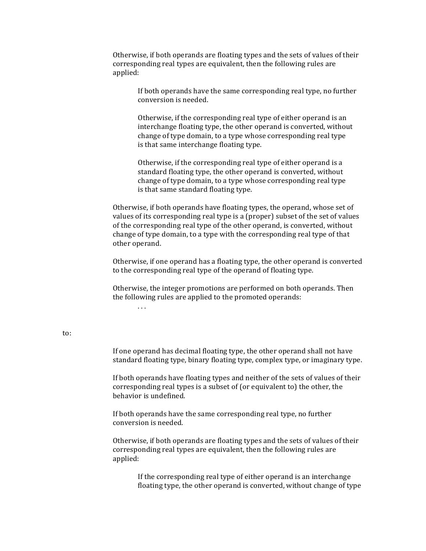Otherwise, if both operands are floating types and the sets of values of their corresponding real types are equivalent, then the following rules are applied:

> If both operands have the same corresponding real type, no further conversion is needed.

Otherwise, if the corresponding real type of either operand is an interchange floating type, the other operand is converted, without change of type domain, to a type whose corresponding real type is that same interchange floating type.

Otherwise, if the corresponding real type of either operand is a standard floating type, the other operand is converted, without change of type domain, to a type whose corresponding real type is that same standard floating type.

Otherwise, if both operands have floating types, the operand, whose set of values of its corresponding real type is a (proper) subset of the set of values of the corresponding real type of the other operand, is converted, without change of type domain, to a type with the corresponding real type of that other operand.

Otherwise, if one operand has a floating type, the other operand is converted to the corresponding real type of the operand of floating type.

Otherwise, the integer promotions are performed on both operands. Then the following rules are applied to the promoted operands:

. . .

## to:

If one operand has decimal floating type, the other operand shall not have standard floating type, binary floating type, complex type, or imaginary type.

If both operands have floating types and neither of the sets of values of their corresponding real types is a subset of (or equivalent to) the other, the behavior is undefined.

If both operands have the same corresponding real type, no further conversion is needed.

Otherwise, if both operands are floating types and the sets of values of their corresponding real types are equivalent, then the following rules are applied:

If the corresponding real type of either operand is an interchange floating type, the other operand is converted, without change of type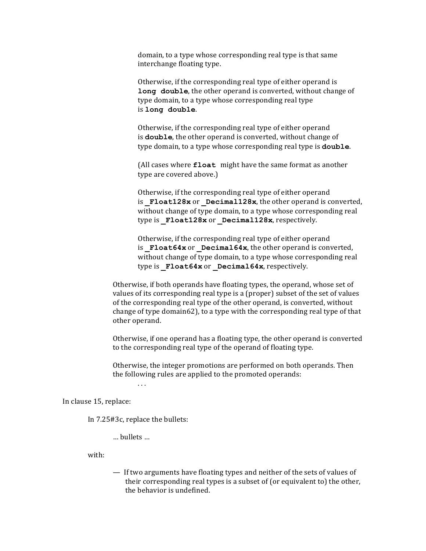domain, to a type whose corresponding real type is that same interchange floating type.

Otherwise, if the corresponding real type of either operand is **long double**, the other operand is converted, without change of type domain, to a type whose corresponding real type is **long double**.

Otherwise, if the corresponding real type of either operand is **double**, the other operand is converted, without change of type domain, to a type whose corresponding real type is **double**.

(All cases where **float** might have the same format as another type are covered above.)

Otherwise, if the corresponding real type of either operand is **Float128x** or **Decimal128x**, the other operand is converted, without change of type domain, to a type whose corresponding real type is Float128x or Decimal128x, respectively.

Otherwise, if the corresponding real type of either operand is **Float64x** or **Decimal64x**, the other operand is converted, without change of type domain, to a type whose corresponding real type is **Float64x** or **Decimal64x**, respectively.

Otherwise, if both operands have floating types, the operand, whose set of values of its corresponding real type is a (proper) subset of the set of values of the corresponding real type of the other operand, is converted, without change of type domain62), to a type with the corresponding real type of that other operand.

Otherwise, if one operand has a floating type, the other operand is converted to the corresponding real type of the operand of floating type.

Otherwise, the integer promotions are performed on both operands. Then the following rules are applied to the promoted operands:

 $\ldots$ 

In clause 15, replace:

In 7.25#3c, replace the bullets:

… bullets …

with:

 $-$  If two arguments have floating types and neither of the sets of values of their corresponding real types is a subset of (or equivalent to) the other, the behavior is undefined.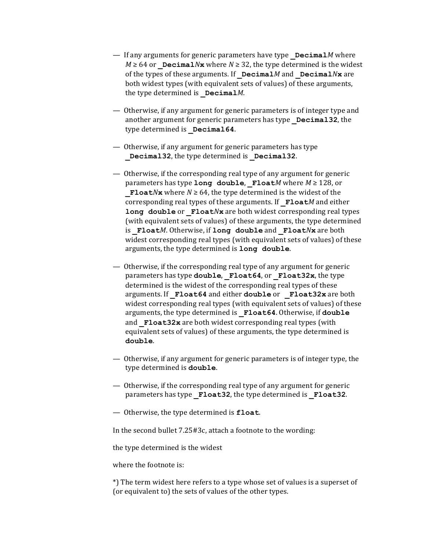- $-$  If any arguments for generic parameters have type **Decimal***M* where  $M \geq 64$  or Decimal*N***x** where  $N \geq 32$ , the type determined is the widest of the types of these arguments. If  $DecimalM$  and  $DecimalNx$  are both widest types (with equivalent sets of values) of these arguments, the type determined is **Decimal***M*.
- Otherwise, if any argument for generic parameters is of integer type and another argument for generic parameters has type **Decimal32**, the type determined is **Decimal64**.
- Otherwise, if any argument for generic parameters has type Decimal32, the type determined is Decimal32.
- $\overline{a}$  Otherwise, if the corresponding real type of any argument for generic parameters has type long double, Float*M* where *M* ≥ 128, or **Float***N***x** where  $N \ge 64$ , the type determined is the widest of the corresponding real types of these arguments. If **Float***M* and either **long double** or **Float***N***x** are both widest corresponding real types (with equivalent sets of values) of these arguments, the type determined is **Float***M*. Otherwise, if long double and **Float***N***x** are both widest corresponding real types (with equivalent sets of values) of these arguments, the type determined is **long** double.
- $\sim$  0 therwise, if the corresponding real type of any argument for generic parameters has type **double**, **Float64**, or **Float32x**, the type determined is the widest of the corresponding real types of these arguments. If **\_Float64** and either **double** or **\_Float32x** are both widest corresponding real types (with equivalent sets of values) of these arguments, the type determined is **Float64**. Otherwise, if **double** and **Float32x** are both widest corresponding real types (with equivalent sets of values) of these arguments, the type determined is **double**.
- Otherwise, if any argument for generic parameters is of integer type, the type determined is **double**.
- Otherwise, if the corresponding real type of any argument for generic parameters has type **Float32**, the type determined is **Float32**.
- $-$  Otherwise, the type determined is **float**.

In the second bullet  $7.25#3c$ , attach a footnote to the wording:

the type determined is the widest

where the footnote is:

\*) The term widest here refers to a type whose set of values is a superset of (or equivalent to) the sets of values of the other types.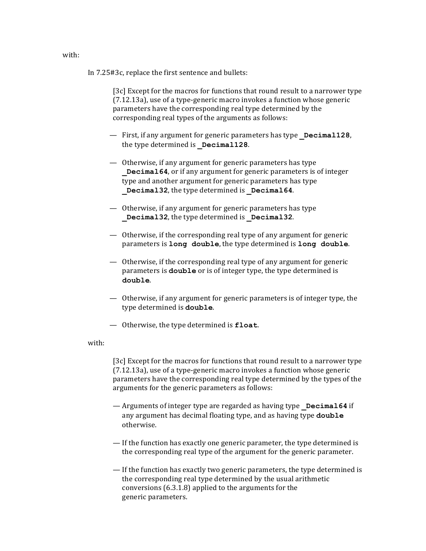In 7.25#3c, replace the first sentence and bullets:

[3c] Except for the macros for functions that round result to a narrower type  $(7.12.13a)$ , use of a type-generic macro invokes a function whose generic parameters have the corresponding real type determined by the corresponding real types of the arguments as follows:

- $-$  First, if any argument for generic parameters has type **Decimal128**, the type determined is **Decimal128**.
- Otherwise, if any argument for generic parameters has type **Decimal64**, or if any argument for generic parameters is of integer type and another argument for generic parameters has type **Decimal32**, the type determined is **Decimal64**.
- $-$  Otherwise, if any argument for generic parameters has type Decimal32, the type determined is Decimal32.
- $\overline{a}$  Otherwise, if the corresponding real type of any argument for generic parameters is **long** double, the type determined is long double.
- $\sim$  0 therwise, if the corresponding real type of any argument for generic parameters is **double** or is of integer type, the type determined is **double**.
- Otherwise, if any argument for generic parameters is of integer type, the type determined is **double**.
- $-$  Otherwise, the type determined is **float**.

with:

[3c] Except for the macros for functions that round result to a narrower type  $(7.12.13a)$ , use of a type-generic macro invokes a function whose generic parameters have the corresponding real type determined by the types of the arguments for the generic parameters as follows:

- $-$  Arguments of integer type are regarded as having type **Decimal64** if any argument has decimal floating type, and as having type **double** otherwise.
- $-$  If the function has exactly one generic parameter, the type determined is the corresponding real type of the argument for the generic parameter.
- $-$  If the function has exactly two generic parameters, the type determined is the corresponding real type determined by the usual arithmetic conversions  $(6.3.1.8)$  applied to the arguments for the generic parameters.

with: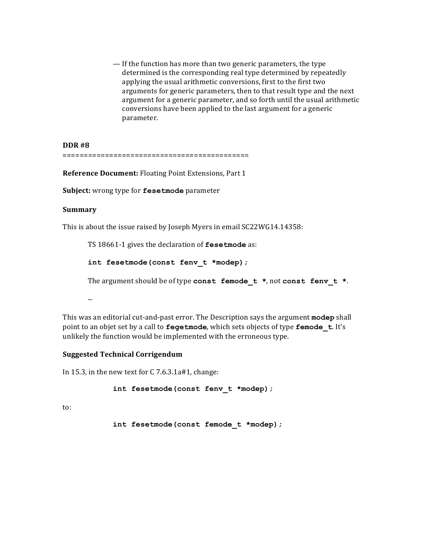$-$  If the function has more than two generic parameters, the type determined is the corresponding real type determined by repeatedly applying the usual arithmetic conversions, first to the first two arguments for generic parameters, then to that result type and the next argument for a generic parameter, and so forth until the usual arithmetic conversions have been applied to the last argument for a generic parameter.

**DDR #8** ============================================

**Reference Document:** Floating Point Extensions, Part 1

**Subject:** wrong type for **fesetmode** parameter

## **Summary**

This is about the issue raised by Joseph Myers in email SC22WG14.14358:

TS 18661-1 gives the declaration of **fesetmode** as:

```
int fesetmode(const fenv_t *modep);
```
The argument should be of type const femode t \*, not const fenv t \*.

--

This was an editorial cut-and-past error. The Description says the argument modep shall point to an objet set by a call to **fegetmode**, which sets objects of type **femode** t. It's unlikely the function would be implemented with the erroneous type.

## **Suggested Technical Corrigendum**

In 15.3, in the new text for  $C$  7.6.3.1a#1, change:

**int fesetmode(const fenv\_t \*modep);**

to:

**int fesetmode(const femode\_t \*modep);**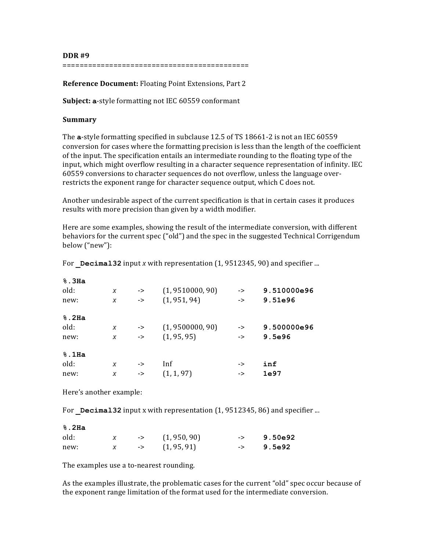**DDR #9** ============================================

**Reference Document:** Floating Point Extensions, Part 2

**Subject: a**-style formatting not IEC 60559 conformant

## **Summary**

The **a**-style formatting specified in subclause 12.5 of TS 18661-2 is not an IEC 60559 conversion for cases where the formatting precision is less than the length of the coefficient of the input. The specification entails an intermediate rounding to the floating type of the input, which might overflow resulting in a character sequence representation of infinity. IEC 60559 conversions to character sequences do not overflow, unless the language overrestricts the exponent range for character sequence output, which C does not.

Another undesirable aspect of the current specification is that in certain cases it produces results with more precision than given by a width modifier.

Here are some examples, showing the result of the intermediate conversion, with different behaviors for the current spec ("old") and the spec in the suggested Technical Corrigendum below ("new"):

| $\boldsymbol{X}$ | $\rightarrow$ | (1, 9510000, 90) | -> | 9.510000e96 |
|------------------|---------------|------------------|----|-------------|
| X                | $\rightarrow$ | (1, 951, 94)     | -> | 9.51e96     |
|                  |               |                  |    |             |
| X                | ->            | (1, 9500000, 90) | -> | 9.500000e96 |
| X                | $\rightarrow$ | (1, 95, 95)      | -> | 9.5e96      |
|                  |               |                  |    |             |
| $\boldsymbol{X}$ | ->            | Inf              | -> | inf         |
| X                | $\rightarrow$ | (1, 1, 97)       | -> | 1e97        |
|                  |               |                  |    |             |

For  $Decimal32$  input *x* with representation  $(1, 9512345, 90)$  and specifier ...

Here's another example:

For Decimal32 input x with representation  $(1, 9512345, 86)$  and specifier ...

**%.2Ha**

| old: |  | $\left( \frac{1}{950}, \frac{90}{90} \right)$ | $-2$ 9.50e92 |
|------|--|-----------------------------------------------|--------------|
| new: |  | $-$ (1, 95, 91)                               | $->$ 9.5e92  |

The examples use a to-nearest rounding.

As the examples illustrate, the problematic cases for the current "old" spec occur because of the exponent range limitation of the format used for the intermediate conversion.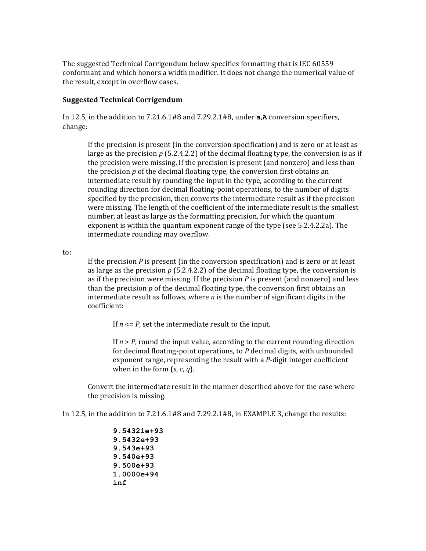The suggested Technical Corrigendum below specifies formatting that is IEC 60559 conformant and which honors a width modifier. It does not change the numerical value of the result, except in overflow cases.

## **Suggested Technical Corrigendum**

In 12.5, in the addition to  $7.21.6.1\#8$  and  $7.29.2.1\#8$ , under  $a, A$  conversion specifiers, change:

If the precision is present (in the conversion specification) and is zero or at least as large as the precision  $p$  (5.2.4.2.2) of the decimal floating type, the conversion is as if the precision were missing. If the precision is present (and nonzero) and less than the precision  $p$  of the decimal floating type, the conversion first obtains an intermediate result by rounding the input in the type, according to the current rounding direction for decimal floating-point operations, to the number of digits specified by the precision, then converts the intermediate result as if the precision were missing. The length of the coefficient of the intermediate result is the smallest number, at least as large as the formatting precision, for which the quantum exponent is within the quantum exponent range of the type (see  $5.2.4.2.2a$ ). The intermediate rounding may overflow.

to:

If the precision  $P$  is present (in the conversion specification) and is zero or at least as large as the precision  $p$  (5.2.4.2.2) of the decimal floating type, the conversion is as if the precision were missing. If the precision  $P$  is present (and nonzero) and less than the precision  $p$  of the decimal floating type, the conversion first obtains an intermediate result as follows, where  $n$  is the number of significant digits in the coefficient:

If  $n \leq P$ , set the intermediate result to the input.

If  $n > P$ , round the input value, according to the current rounding direction for decimal floating-point operations, to P decimal digits, with unbounded exponent range, representing the result with a *P*-digit integer coefficient when in the form  $(s, c, q)$ .

Convert the intermediate result in the manner described above for the case where the precision is missing.

In 12.5, in the addition to  $7.21.6.1\#8$  and  $7.29.2.1\#8$ , in EXAMPLE 3, change the results:

**9.54321e+93 9.5432e+93 9.543e+93 9.540e+93 9.500e+93 1.0000e+94 inf**